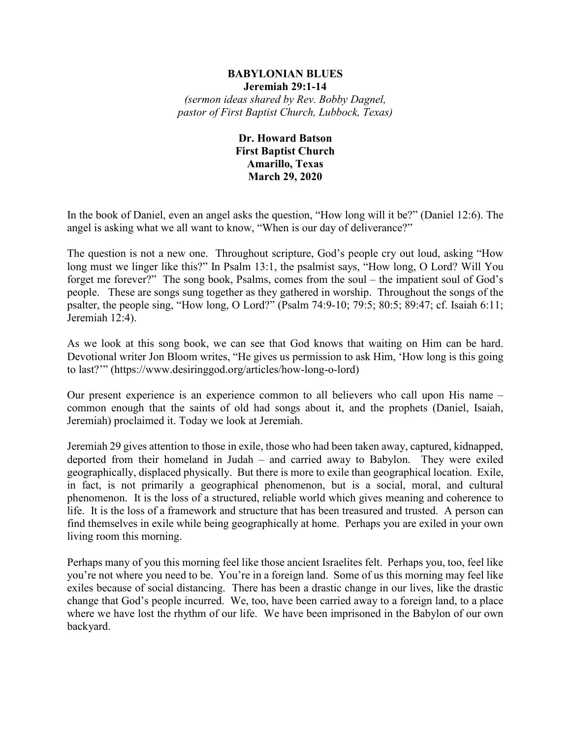### **BABYLONIAN BLUES Jeremiah 29:1-14** *(sermon ideas shared by Rev. Bobby Dagnel, pastor of First Baptist Church, Lubbock, Texas)*

# **Dr. Howard Batson First Baptist Church Amarillo, Texas March 29, 2020**

In the book of Daniel, even an angel asks the question, "How long will it be?" (Daniel 12:6). The angel is asking what we all want to know, "When is our day of deliverance?"

The question is not a new one. Throughout scripture, God's people cry out loud, asking "How long must we linger like this?" In Psalm 13:1, the psalmist says, "How long, O Lord? Will You forget me forever?" The song book, Psalms, comes from the soul – the impatient soul of God's people. These are songs sung together as they gathered in worship. Throughout the songs of the psalter, the people sing, "How long, O Lord?" (Psalm 74:9-10; 79:5; 80:5; 89:47; cf. Isaiah 6:11; Jeremiah 12:4).

As we look at this song book, we can see that God knows that waiting on Him can be hard. Devotional writer Jon Bloom writes, "He gives us permission to ask Him, 'How long is this going to last?'" (https://www.desiringgod.org/articles/how-long-o-lord)

Our present experience is an experience common to all believers who call upon His name – common enough that the saints of old had songs about it, and the prophets (Daniel, Isaiah, Jeremiah) proclaimed it. Today we look at Jeremiah.

Jeremiah 29 gives attention to those in exile, those who had been taken away, captured, kidnapped, deported from their homeland in Judah – and carried away to Babylon. They were exiled geographically, displaced physically. But there is more to exile than geographical location. Exile, in fact, is not primarily a geographical phenomenon, but is a social, moral, and cultural phenomenon. It is the loss of a structured, reliable world which gives meaning and coherence to life. It is the loss of a framework and structure that has been treasured and trusted. A person can find themselves in exile while being geographically at home. Perhaps you are exiled in your own living room this morning.

Perhaps many of you this morning feel like those ancient Israelites felt. Perhaps you, too, feel like you're not where you need to be. You're in a foreign land. Some of us this morning may feel like exiles because of social distancing. There has been a drastic change in our lives, like the drastic change that God's people incurred. We, too, have been carried away to a foreign land, to a place where we have lost the rhythm of our life. We have been imprisoned in the Babylon of our own backyard.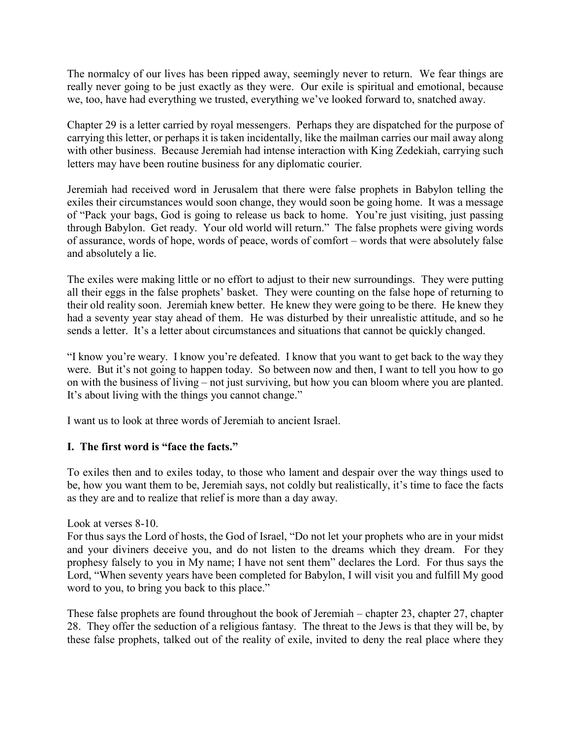The normalcy of our lives has been ripped away, seemingly never to return. We fear things are really never going to be just exactly as they were. Our exile is spiritual and emotional, because we, too, have had everything we trusted, everything we've looked forward to, snatched away.

Chapter 29 is a letter carried by royal messengers. Perhaps they are dispatched for the purpose of carrying this letter, or perhaps it is taken incidentally, like the mailman carries our mail away along with other business. Because Jeremiah had intense interaction with King Zedekiah, carrying such letters may have been routine business for any diplomatic courier.

Jeremiah had received word in Jerusalem that there were false prophets in Babylon telling the exiles their circumstances would soon change, they would soon be going home. It was a message of "Pack your bags, God is going to release us back to home. You're just visiting, just passing through Babylon. Get ready. Your old world will return." The false prophets were giving words of assurance, words of hope, words of peace, words of comfort – words that were absolutely false and absolutely a lie.

The exiles were making little or no effort to adjust to their new surroundings. They were putting all their eggs in the false prophets' basket. They were counting on the false hope of returning to their old reality soon. Jeremiah knew better. He knew they were going to be there. He knew they had a seventy year stay ahead of them. He was disturbed by their unrealistic attitude, and so he sends a letter. It's a letter about circumstances and situations that cannot be quickly changed.

"I know you're weary. I know you're defeated. I know that you want to get back to the way they were. But it's not going to happen today. So between now and then, I want to tell you how to go on with the business of living – not just surviving, but how you can bloom where you are planted. It's about living with the things you cannot change."

I want us to look at three words of Jeremiah to ancient Israel.

# **I. The first word is "face the facts."**

To exiles then and to exiles today, to those who lament and despair over the way things used to be, how you want them to be, Jeremiah says, not coldly but realistically, it's time to face the facts as they are and to realize that relief is more than a day away.

Look at verses 8-10.

For thus says the Lord of hosts, the God of Israel, "Do not let your prophets who are in your midst and your diviners deceive you, and do not listen to the dreams which they dream. For they prophesy falsely to you in My name; I have not sent them" declares the Lord. For thus says the Lord, "When seventy years have been completed for Babylon, I will visit you and fulfill My good word to you, to bring you back to this place."

These false prophets are found throughout the book of Jeremiah – chapter 23, chapter 27, chapter 28. They offer the seduction of a religious fantasy. The threat to the Jews is that they will be, by these false prophets, talked out of the reality of exile, invited to deny the real place where they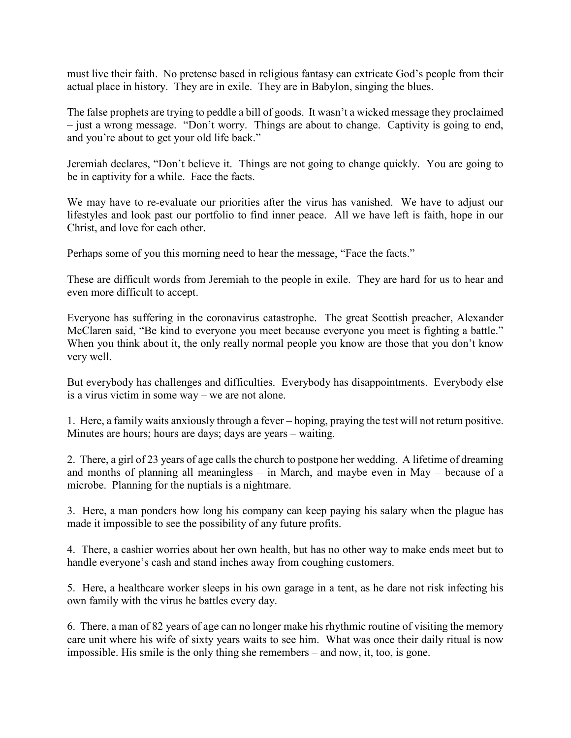must live their faith. No pretense based in religious fantasy can extricate God's people from their actual place in history. They are in exile. They are in Babylon, singing the blues.

The false prophets are trying to peddle a bill of goods. It wasn't a wicked message they proclaimed – just a wrong message. "Don't worry. Things are about to change. Captivity is going to end, and you're about to get your old life back."

Jeremiah declares, "Don't believe it. Things are not going to change quickly. You are going to be in captivity for a while. Face the facts.

We may have to re-evaluate our priorities after the virus has vanished. We have to adjust our lifestyles and look past our portfolio to find inner peace. All we have left is faith, hope in our Christ, and love for each other.

Perhaps some of you this morning need to hear the message, "Face the facts."

These are difficult words from Jeremiah to the people in exile. They are hard for us to hear and even more difficult to accept.

Everyone has suffering in the coronavirus catastrophe. The great Scottish preacher, Alexander McClaren said, "Be kind to everyone you meet because everyone you meet is fighting a battle." When you think about it, the only really normal people you know are those that you don't know very well.

But everybody has challenges and difficulties. Everybody has disappointments. Everybody else is a virus victim in some way – we are not alone.

1. Here, a family waits anxiously through a fever – hoping, praying the test will not return positive. Minutes are hours; hours are days; days are years – waiting.

2. There, a girl of 23 years of age calls the church to postpone her wedding. A lifetime of dreaming and months of planning all meaningless – in March, and maybe even in May – because of a microbe. Planning for the nuptials is a nightmare.

3. Here, a man ponders how long his company can keep paying his salary when the plague has made it impossible to see the possibility of any future profits.

4. There, a cashier worries about her own health, but has no other way to make ends meet but to handle everyone's cash and stand inches away from coughing customers.

5. Here, a healthcare worker sleeps in his own garage in a tent, as he dare not risk infecting his own family with the virus he battles every day.

6. There, a man of 82 years of age can no longer make his rhythmic routine of visiting the memory care unit where his wife of sixty years waits to see him. What was once their daily ritual is now impossible. His smile is the only thing she remembers – and now, it, too, is gone.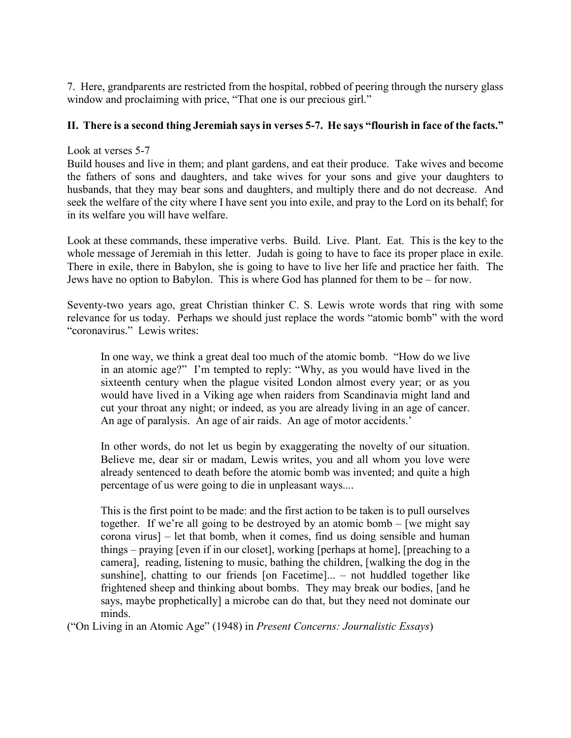7. Here, grandparents are restricted from the hospital, robbed of peering through the nursery glass window and proclaiming with price, "That one is our precious girl."

## **II. There is a second thing Jeremiah says in verses 5-7. He says "flourish in face of the facts."**

### Look at verses 5-7

Build houses and live in them; and plant gardens, and eat their produce. Take wives and become the fathers of sons and daughters, and take wives for your sons and give your daughters to husbands, that they may bear sons and daughters, and multiply there and do not decrease. And seek the welfare of the city where I have sent you into exile, and pray to the Lord on its behalf; for in its welfare you will have welfare.

Look at these commands, these imperative verbs. Build. Live. Plant. Eat. This is the key to the whole message of Jeremiah in this letter. Judah is going to have to face its proper place in exile. There in exile, there in Babylon, she is going to have to live her life and practice her faith. The Jews have no option to Babylon. This is where God has planned for them to be – for now.

Seventy-two years ago, great Christian thinker C. S. Lewis wrote words that ring with some relevance for us today. Perhaps we should just replace the words "atomic bomb" with the word "coronavirus." Lewis writes:

In one way, we think a great deal too much of the atomic bomb. "How do we live in an atomic age?" I'm tempted to reply: "Why, as you would have lived in the sixteenth century when the plague visited London almost every year; or as you would have lived in a Viking age when raiders from Scandinavia might land and cut your throat any night; or indeed, as you are already living in an age of cancer. An age of paralysis. An age of air raids. An age of motor accidents.'

In other words, do not let us begin by exaggerating the novelty of our situation. Believe me, dear sir or madam, Lewis writes, you and all whom you love were already sentenced to death before the atomic bomb was invented; and quite a high percentage of us were going to die in unpleasant ways....

This is the first point to be made: and the first action to be taken is to pull ourselves together. If we're all going to be destroyed by an atomic bomb – [we might say corona virus] – let that bomb, when it comes, find us doing sensible and human things – praying [even if in our closet], working [perhaps at home], [preaching to a camera], reading, listening to music, bathing the children, [walking the dog in the sunshine], chatting to our friends [on Facetime]... – not huddled together like frightened sheep and thinking about bombs. They may break our bodies, [and he says, maybe prophetically] a microbe can do that, but they need not dominate our minds.

("On Living in an Atomic Age" (1948) in *Present Concerns: Journalistic Essays*)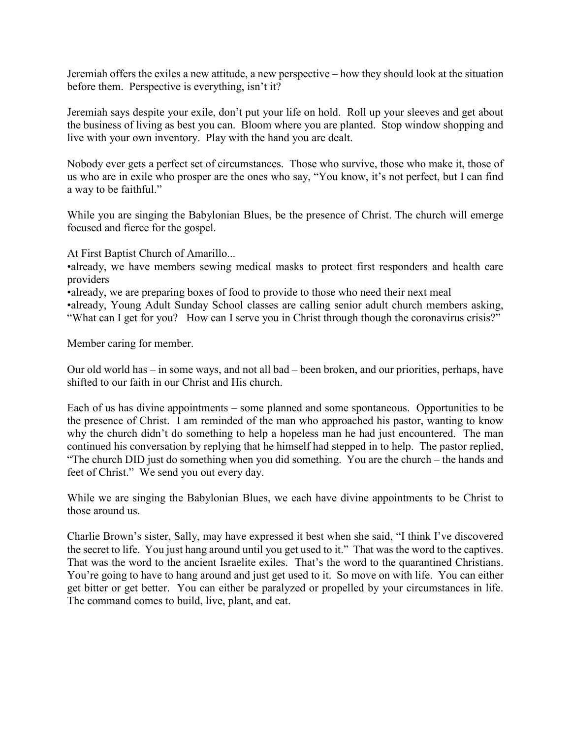Jeremiah offers the exiles a new attitude, a new perspective – how they should look at the situation before them. Perspective is everything, isn't it?

Jeremiah says despite your exile, don't put your life on hold. Roll up your sleeves and get about the business of living as best you can. Bloom where you are planted. Stop window shopping and live with your own inventory. Play with the hand you are dealt.

Nobody ever gets a perfect set of circumstances. Those who survive, those who make it, those of us who are in exile who prosper are the ones who say, "You know, it's not perfect, but I can find a way to be faithful."

While you are singing the Babylonian Blues, be the presence of Christ. The church will emerge focused and fierce for the gospel.

At First Baptist Church of Amarillo...

•already, we have members sewing medical masks to protect first responders and health care providers

•already, we are preparing boxes of food to provide to those who need their next meal

•already, Young Adult Sunday School classes are calling senior adult church members asking, "What can I get for you? How can I serve you in Christ through though the coronavirus crisis?"

Member caring for member.

Our old world has – in some ways, and not all bad – been broken, and our priorities, perhaps, have shifted to our faith in our Christ and His church.

Each of us has divine appointments – some planned and some spontaneous. Opportunities to be the presence of Christ. I am reminded of the man who approached his pastor, wanting to know why the church didn't do something to help a hopeless man he had just encountered. The man continued his conversation by replying that he himself had stepped in to help. The pastor replied, "The church DID just do something when you did something. You are the church – the hands and feet of Christ." We send you out every day.

While we are singing the Babylonian Blues, we each have divine appointments to be Christ to those around us.

Charlie Brown's sister, Sally, may have expressed it best when she said, "I think I've discovered the secret to life. You just hang around until you get used to it." That was the word to the captives. That was the word to the ancient Israelite exiles. That's the word to the quarantined Christians. You're going to have to hang around and just get used to it. So move on with life. You can either get bitter or get better. You can either be paralyzed or propelled by your circumstances in life. The command comes to build, live, plant, and eat.